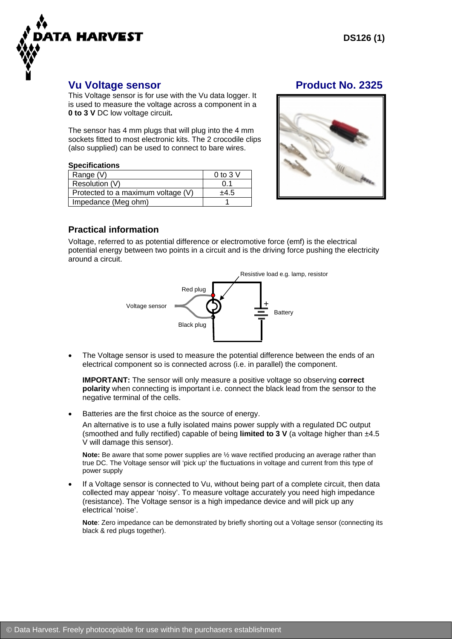



# **Vu Voltage sensor Contract Contract Product No. 2325**

This Voltage sensor is for use with the Vu data logger. It is used to measure the voltage across a component in a **0 to 3 V** DC low voltage circuit**.**

The sensor has 4 mm plugs that will plug into the 4 mm sockets fitted to most electronic kits. The 2 crocodile clips (also supplied) can be used to connect to bare wires.

#### **Specifications**

| --------------                     |           |
|------------------------------------|-----------|
| Range (V)                          | 0 to $3V$ |
| Resolution (V)                     | ი 1       |
| Protected to a maximum voltage (V) | ±4.5      |
| Impedance (Meg ohm)                |           |



### **Practical information**

Voltage, referred to as potential difference or electromotive force (emf) is the electrical potential energy between two points in a circuit and is the driving force pushing the electricity around a circuit.



The Voltage sensor is used to measure the potential difference between the ends of an electrical component so is connected across (i.e. in parallel) the component.

**IMPORTANT:** The sensor will only measure a positive voltage so observing **correct polarity** when connecting is important i.e. connect the black lead from the sensor to the negative terminal of the cells.

• Batteries are the first choice as the source of energy.

An alternative is to use a fully isolated mains power supply with a regulated DC output (smoothed and fully rectified) capable of being **limited to 3 V** (a voltage higher than ±4.5 V will damage this sensor).

**Note:** Be aware that some power supplies are ½ wave rectified producing an average rather than true DC. The Voltage sensor will 'pick up' the fluctuations in voltage and current from this type of power supply

If a Voltage sensor is connected to Vu, without being part of a complete circuit, then data collected may appear 'noisy'. To measure voltage accurately you need high impedance (resistance). The Voltage sensor is a high impedance device and will pick up any electrical 'noise'.

**Note**: Zero impedance can be demonstrated by briefly shorting out a Voltage sensor (connecting its black & red plugs together).